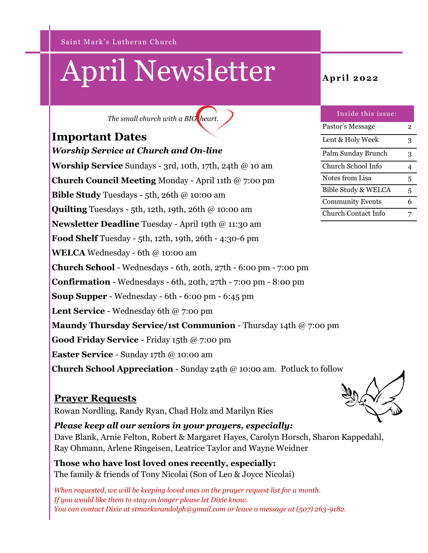Saint Mark's Lutheran Church

# April Newsletter **April 2022**

*The small church with a BIG heart.*

## **Important Dates**

*Worship Service at Church and On-line* **Worship Service** Sundays - 3rd, 10th, 17th, 24th @ 10 am **Church Council Meeting** Monday - April 11th @ 7:00 pm **Bible Study** Tuesdays - 5th, 26th @ 10:00 am **Quilting** Tuesdays - 5th, 12th, 19th, 26th @ 10:00 am **Newsletter Deadline** Tuesday - April 19th @ 11:30 am **Food Shelf** Tuesday - 5th, 12th, 19th, 26th - 4:30-6 pm **WELCA** Wednesday - 6th @ 10:00 am **Church School** - Wednesdays - 6th, 20th, 27th - 6:00 pm - 7:00 pm **Confirmation** - Wednesdays - 6th, 20th, 27th - 7:00 pm - 8:00 pm **Soup Supper** - Wednesday - 6th - 6:00 pm - 6:45 pm **Lent Service** - Wednesday 6th @ 7:00 pm **Maundy Thursday Service/1st Communion** - Thursday 14th @ 7:00 pm **Good Friday Service** - Friday 15th @ 7:00 pm **Easter Service** - Sunday 17th @ 10:00 am **Church School Appreciation** - Sunday 24th @ 10:00 am. Potluck to follow

#### **Prayer Requests**

Rowan Nordling, Randy Ryan, Chad Holz and Marilyn Ries

*Please keep all our seniors in your prayers, especially:*  Dave Blank, Arnie Felton, Robert & Margaret Hayes, Carolyn Horsch, Sharon Kappedahl, Ray Ohmann, Arlene Ringeisen, Leatrice Taylor and Wayne Weidner

**Those who have lost loved ones recently, especially:** The family & friends of Tony Nicolai (Son of Leo & Joyce Nicolai)

*When requested, we will be keeping loved ones on the prayer request list for a month. If you would like them to stay on longer please let Dixie know. You can contact Dixie at stmarksrandolph@gmail.com or leave a message at (507) 263-9182.*

| Inside this issue:      |   |
|-------------------------|---|
| Pastor's Message        | 2 |
| Lent & Holy Week        | 3 |
| Palm Sunday Brunch      | 3 |
| Church School Info      |   |
| Notes from Lisa         | 5 |
| Bible Study & WELCA     | 5 |
| <b>Community Events</b> | 6 |
| Church Contact Info     |   |

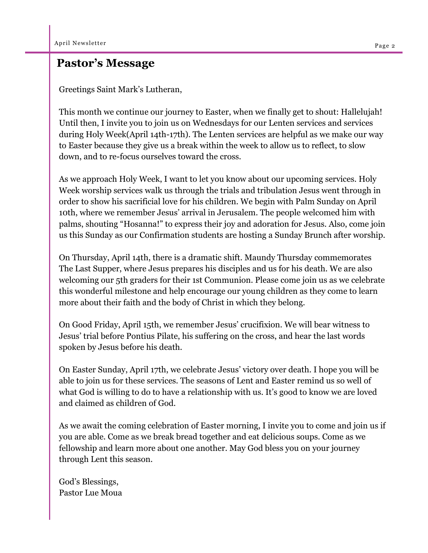### **Pastor's Message**

Greetings Saint Mark's Lutheran,

This month we continue our journey to Easter, when we finally get to shout: Hallelujah! Until then, I invite you to join us on Wednesdays for our Lenten services and services during Holy Week(April 14th-17th). The Lenten services are helpful as we make our way to Easter because they give us a break within the week to allow us to reflect, to slow down, and to re-focus ourselves toward the cross.

As we approach Holy Week, I want to let you know about our upcoming services. Holy Week worship services walk us through the trials and tribulation Jesus went through in order to show his sacrificial love for his children. We begin with Palm Sunday on April 10th, where we remember Jesus' arrival in Jerusalem. The people welcomed him with palms, shouting "Hosanna!" to express their joy and adoration for Jesus. Also, come join us this Sunday as our Confirmation students are hosting a Sunday Brunch after worship.

On Thursday, April 14th, there is a dramatic shift. Maundy Thursday commemorates The Last Supper, where Jesus prepares his disciples and us for his death. We are also welcoming our 5th graders for their 1st Communion. Please come join us as we celebrate this wonderful milestone and help encourage our young children as they come to learn more about their faith and the body of Christ in which they belong.

On Good Friday, April 15th, we remember Jesus' crucifixion. We will bear witness to Jesus' trial before Pontius Pilate, his suffering on the cross, and hear the last words spoken by Jesus before his death.

On Easter Sunday, April 17th, we celebrate Jesus' victory over death. I hope you will be able to join us for these services. The seasons of Lent and Easter remind us so well of what God is willing to do to have a relationship with us. It's good to know we are loved and claimed as children of God.

As we await the coming celebration of Easter morning, I invite you to come and join us if you are able. Come as we break bread together and eat delicious soups. Come as we fellowship and learn more about one another. May God bless you on your journey through Lent this season.

God's Blessings, Pastor Lue Moua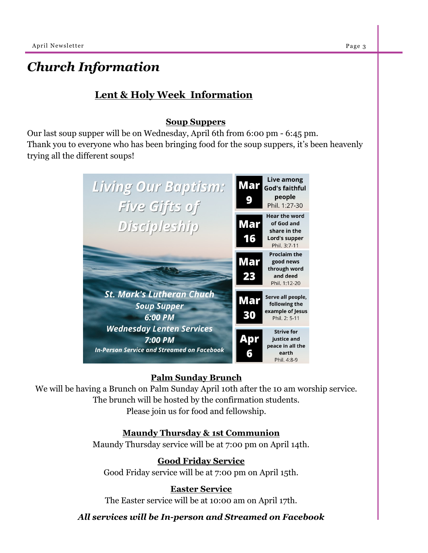## *Church Information*

#### **Lent & Holy Week Information**

#### **Soup Suppers**

Our last soup supper will be on Wednesday, April 6th from 6:00 pm - 6:45 pm. Thank you to everyone who has been bringing food for the soup suppers, it's been heavenly trying all the different soups!



#### **Palm Sunday Brunch**

We will be having a Brunch on Palm Sunday April 10th after the 10 am worship service. The brunch will be hosted by the confirmation students.

Please join us for food and fellowship.

#### **Maundy Thursday & 1st Communion**

Maundy Thursday service will be at 7:00 pm on April 14th.

#### **Good Friday Service**

Good Friday service will be at 7:00 pm on April 15th.

#### **Easter Service**

The Easter service will be at 10:00 am on April 17th.

*All services will be In-person and Streamed on Facebook*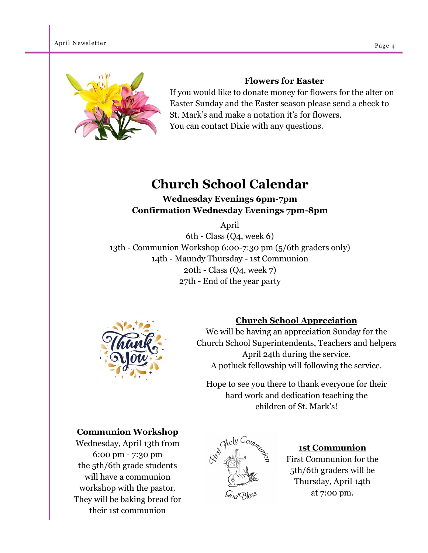

#### **Flowers for Easter**

If you would like to donate money for flowers for the alter on Easter Sunday and the Easter season please send a check to St. Mark's and make a notation it's for flowers. You can contact Dixie with any questions.

## **Church School Calendar**

**Wednesday Evenings 6pm-7pm Confirmation Wednesday Evenings 7pm-8pm**

April

6th - Class (Q4, week 6) 13th - Communion Workshop 6:00-7:30 pm (5/6th graders only) 14th - Maundy Thursday - 1st Communion 20th - Class (Q4, week 7) 27th - End of the year party

![](_page_3_Picture_9.jpeg)

#### **Church School Appreciation**

We will be having an appreciation Sunday for the Church School Superintendents, Teachers and helpers April 24th during the service. A potluck fellowship will following the service.

Hope to see you there to thank everyone for their hard work and dedication teaching the children of St. Mark's!

#### **Communion Workshop**

Wednesday, April 13th from 6:00 pm - 7:30 pm the 5th/6th grade students will have a communion workshop with the pastor. They will be baking bread for their 1st communion

![](_page_3_Picture_15.jpeg)

**1st Communion** First Communion for the 5th/6th graders will be Thursday, April 14th at 7:00 pm.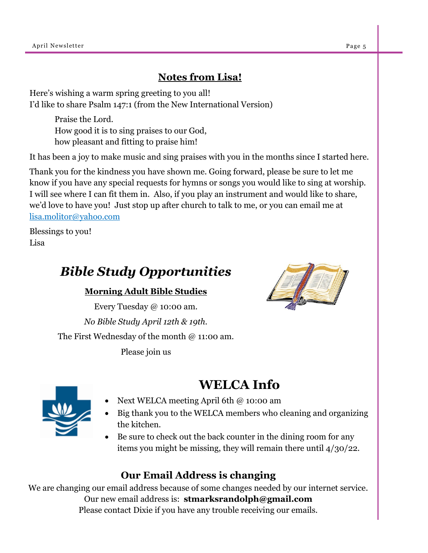#### **Notes from Lisa!**

Here's wishing a warm spring greeting to you all! I'd like to share Psalm 147:1 (from the New International Version)

> Praise the Lord. How good it is to sing praises to our God, how pleasant and fitting to praise him!

It has been a joy to make music and sing praises with you in the months since I started here.

Thank you for the kindness you have shown me. Going forward, please be sure to let me know if you have any special requests for hymns or songs you would like to sing at worship. I will see where I can fit them in. Also, if you play an instrument and would like to share, we'd love to have you! Just stop up after church to talk to me, or you can email me at lisa.molitor@yahoo.com

Blessings to you! Lisa

## *Bible Study Opportunities*

#### **Morning Adult Bible Studies**

Every Tuesday @ 10:00 am. *No Bible Study April 12th & 19th.* The First Wednesday of the month @ 11:00 am.

Please join us

## **WELCA Info**

- 
- Next WELCA meeting April 6th @ 10:00 am
- Big thank you to the WELCA members who cleaning and organizing the kitchen.
- Be sure to check out the back counter in the dining room for any items you might be missing, they will remain there until 4/30/22.

### **Our Email Address is changing**

We are changing our email address because of some changes needed by our internet service. Our new email address is: **stmarksrandolph@gmail.com** Please contact Dixie if you have any trouble receiving our emails.

![](_page_4_Picture_18.jpeg)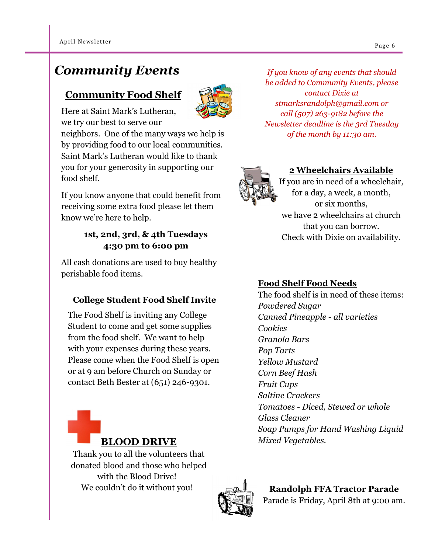## *Community Events*

## **Community Food Shelf**

![](_page_5_Picture_3.jpeg)

Here at Saint Mark's Lutheran, we try our best to serve our

neighbors. One of the many ways we help is by providing food to our local communities. Saint Mark's Lutheran would like to thank you for your generosity in supporting our food shelf.

If you know anyone that could benefit from receiving some extra food please let them know we're here to help.

#### **1st, 2nd, 3rd, & 4th Tuesdays 4:30 pm to 6:00 pm**

All cash donations are used to buy healthy perishable food items.

#### **College Student Food Shelf Invite**

The Food Shelf is inviting any College Student to come and get some supplies from the food shelf. We want to help with your expenses during these years. Please come when the Food Shelf is open or at 9 am before Church on Sunday or contact Beth Bester at (651) 246-9301.

![](_page_5_Picture_11.jpeg)

Thank you to all the volunteers that donated blood and those who helped with the Blood Drive! We couldn't do it without you!

![](_page_5_Picture_13.jpeg)

**Randolph FFA Tractor Parade** Parade is Friday, April 8th at 9:00 am.

*If you know of any events that should be added to Community Events, please contact Dixie at stmarksrandolph@gmail.com or call (507) 263-9182 before the Newsletter deadline is the 3rd Tuesday of the month by 11:30 am.*

![](_page_5_Picture_16.jpeg)

#### **2 Wheelchairs Available**

If you are in need of a wheelchair, for a day, a week, a month, or six months, we have 2 wheelchairs at church that you can borrow. Check with Dixie on availability.

#### **Food Shelf Food Needs**

The food shelf is in need of these items: *Powdered Sugar Canned Pineapple - all varieties Cookies Granola Bars Pop Tarts Yellow Mustard Corn Beef Hash Fruit Cups Saltine Crackers Tomatoes - Diced, Stewed or whole Glass Cleaner Soap Pumps for Hand Washing Liquid Mixed Vegetables.*